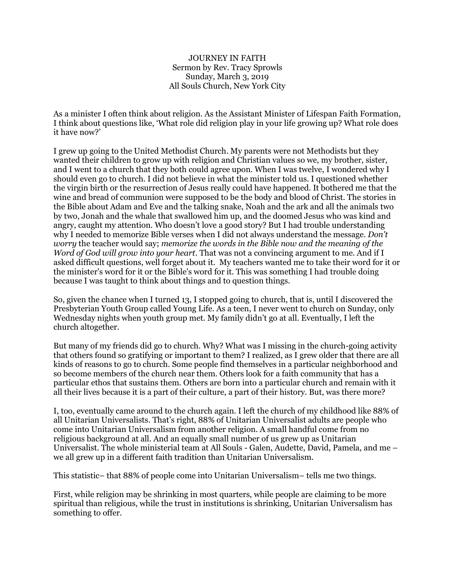## JOURNEY IN FAITH Sermon by Rev. Tracy Sprowls Sunday, March 3, 2019 All Souls Church, New York City

As a minister I often think about religion. As the Assistant Minister of Lifespan Faith Formation, I think about questions like, 'What role did religion play in your life growing up? What role does it have now?'

I grew up going to the United Methodist Church. My parents were not Methodists but they wanted their children to grow up with religion and Christian values so we, my brother, sister, and I went to a church that they both could agree upon. When I was twelve, I wondered why I should even go to church. I did not believe in what the minister told us. I questioned whether the virgin birth or the resurrection of Jesus really could have happened. It bothered me that the wine and bread of communion were supposed to be the body and blood of Christ. The stories in the Bible about Adam and Eve and the talking snake, Noah and the ark and all the animals two by two, Jonah and the whale that swallowed him up, and the doomed Jesus who was kind and angry, caught my attention. Who doesn't love a good story? But I had trouble understanding why I needed to memorize Bible verses when I did not always understand the message. *Don't worry* the teacher would say; *memorize the words in the Bible now and the meaning of the Word of God will grow into your heart*. That was not a convincing argument to me. And if I asked difficult questions, well forget about it. My teachers wanted me to take their word for it or the minister's word for it or the Bible's word for it. This was something I had trouble doing because I was taught to think about things and to question things.

So, given the chance when I turned 13, I stopped going to church, that is, until I discovered the Presbyterian Youth Group called Young Life. As a teen, I never went to church on Sunday, only Wednesday nights when youth group met. My family didn't go at all. Eventually, I left the church altogether.

But many of my friends did go to church. Why? What was I missing in the church-going activity that others found so gratifying or important to them? I realized, as I grew older that there are all kinds of reasons to go to church. Some people find themselves in a particular neighborhood and so become members of the church near them. Others look for a faith community that has a particular ethos that sustains them. Others are born into a particular church and remain with it all their lives because it is a part of their culture, a part of their history. But, was there more?

I, too, eventually came around to the church again. I left the church of my childhood like 88% of all Unitarian Universalists. That's right, 88% of Unitarian Universalist adults are people who come into Unitarian Universalism from another religion. A small handful come from no religious background at all. And an equally small number of us grew up as Unitarian Universalist. The whole ministerial team at All Souls - Galen, Audette, David, Pamela, and me – we all grew up in a different faith tradition than Unitarian Universalism.

This statistic– that 88% of people come into Unitarian Universalism– tells me two things.

First, while religion may be shrinking in most quarters, while people are claiming to be more spiritual than religious, while the trust in institutions is shrinking, Unitarian Universalism has something to offer.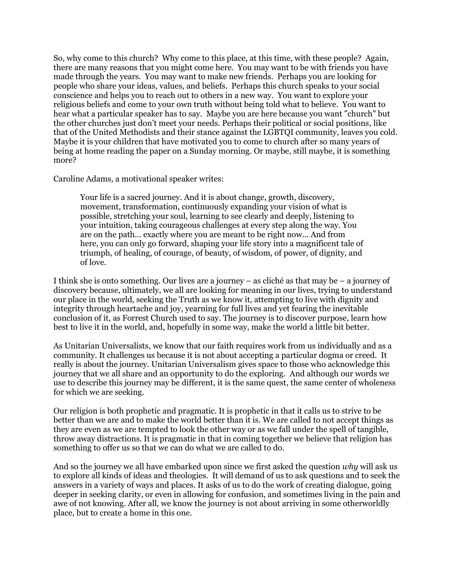So, why come to this church? Why come to this place, at this time, with these people? Again, there are many reasons that you might come here. You may want to be with friends you have made through the years. You may want to make new friends. Perhaps you are looking for people who share your ideas, values, and beliefs. Perhaps this church speaks to your social conscience and helps you to reach out to others in a new way. You want to explore your religious beliefs and come to your own truth without being told what to believe. You want to hear what a particular speaker has to say. Maybe you are here because you want "church" but the other churches just don't meet your needs. Perhaps their political or social positions, like that of the United Methodists and their stance against the LGBTQI community, leaves you cold. Maybe it is your children that have motivated you to come to church after so many years of being at home reading the paper on a Sunday morning. Or maybe, still maybe, it is something more?

Caroline Adams, a motivational speaker writes:

Your life is a sacred journey. And it is about change, growth, discovery, movement, transformation, continuously expanding your vision of what is possible, stretching your soul, learning to see clearly and deeply, listening to your intuition, taking courageous challenges at every step along the way. You are on the path... exactly where you are meant to be right now... And from here, you can only go forward, shaping your life story into a magnificent tale of triumph, of healing, of courage, of beauty, of wisdom, of power, of dignity, and of love.

I think she is onto something. Our lives are a journey – as cliché as that may be – a journey of discovery because, ultimately, we all are looking for meaning in our lives, trying to understand our place in the world, seeking the Truth as we know it, attempting to live with dignity and integrity through heartache and joy, yearning for full lives and yet fearing the inevitable conclusion of it, as Forrest Church used to say. The journey is to discover purpose, learn how best to live it in the world, and, hopefully in some way, make the world a little bit better.

As Unitarian Universalists, we know that our faith requires work from us individually and as a community. It challenges us because it is not about accepting a particular dogma or creed. It really is about the journey. Unitarian Universalism gives space to those who acknowledge this journey that we all share and an opportunity to do the exploring. And although our words we use to describe this journey may be different, it is the same quest, the same center of wholeness for which we are seeking.

Our religion is both prophetic and pragmatic. It is prophetic in that it calls us to strive to be better than we are and to make the world better than it is. We are called to not accept things as they are even as we are tempted to look the other way or as we fall under the spell of tangible, throw away distractions. It is pragmatic in that in coming together we believe that religion has something to offer us so that we can do what we are called to do.

And so the journey we all have embarked upon since we first asked the question *why* will ask us to explore all kinds of ideas and theologies. It will demand of us to ask questions and to seek the answers in a variety of ways and places. It asks of us to do the work of creating dialogue, going deeper in seeking clarity, or even in allowing for confusion, and sometimes living in the pain and awe of not knowing. After all, we know the journey is not about arriving in some otherworldly place, but to create a home in this one.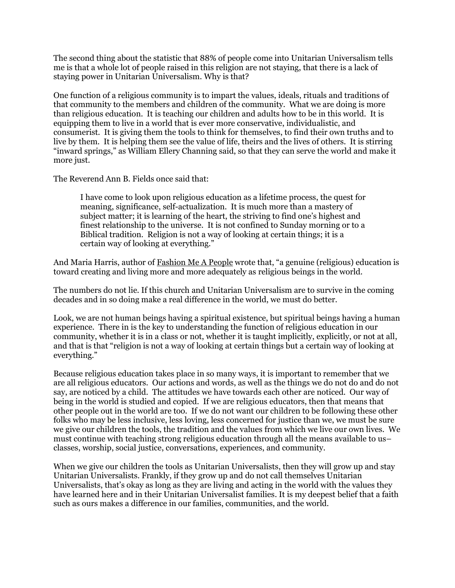The second thing about the statistic that 88% of people come into Unitarian Universalism tells me is that a whole lot of people raised in this religion are not staying, that there is a lack of staying power in Unitarian Universalism. Why is that?

One function of a religious community is to impart the values, ideals, rituals and traditions of that community to the members and children of the community. What we are doing is more than religious education. It is teaching our children and adults how to be in this world. It is equipping them to live in a world that is ever more conservative, individualistic, and consumerist. It is giving them the tools to think for themselves, to find their own truths and to live by them. It is helping them see the value of life, theirs and the lives of others. It is stirring "inward springs," as William Ellery Channing said, so that they can serve the world and make it more just.

The Reverend Ann B. Fields once said that:

I have come to look upon religious education as a lifetime process, the quest for meaning, significance, self-actualization. It is much more than a mastery of subject matter; it is learning of the heart, the striving to find one's highest and finest relationship to the universe. It is not confined to Sunday morning or to a Biblical tradition. Religion is not a way of looking at certain things; it is a certain way of looking at everything."

And Maria Harris, author of Fashion Me A People wrote that, "a genuine (religious) education is toward creating and living more and more adequately as religious beings in the world.

The numbers do not lie. If this church and Unitarian Universalism are to survive in the coming decades and in so doing make a real difference in the world, we must do better.

Look, we are not human beings having a spiritual existence, but spiritual beings having a human experience. There in is the key to understanding the function of religious education in our community, whether it is in a class or not, whether it is taught implicitly, explicitly, or not at all, and that is that "religion is not a way of looking at certain things but a certain way of looking at everything."

Because religious education takes place in so many ways, it is important to remember that we are all religious educators. Our actions and words, as well as the things we do not do and do not say, are noticed by a child. The attitudes we have towards each other are noticed. Our way of being in the world is studied and copied. If we are religious educators, then that means that other people out in the world are too. If we do not want our children to be following these other folks who may be less inclusive, less loving, less concerned for justice than we, we must be sure we give our children the tools, the tradition and the values from which we live our own lives. We must continue with teaching strong religious education through all the means available to us– classes, worship, social justice, conversations, experiences, and community.

When we give our children the tools as Unitarian Universalists, then they will grow up and stay Unitarian Universalists. Frankly, if they grow up and do not call themselves Unitarian Universalists, that's okay as long as they are living and acting in the world with the values they have learned here and in their Unitarian Universalist families. It is my deepest belief that a faith such as ours makes a difference in our families, communities, and the world.